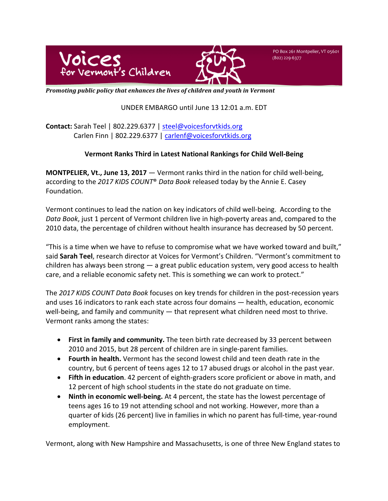



PO Box 261 Montpelier, VT 05601 (802) 229-6377

*Promoting public policy that enhances the lives of children and youth in Vermont* 

## UNDER EMBARGO until June 13 12:01 a.m. EDT

**Contact:** Sarah Teel | 802.229.6377 | steel@voicesforvtkids.org Carlen Finn | 802.229.6377 | carlenf@voicesforvtkids.org

# **Vermont Ranks Third in Latest National Rankings for Child Well-Being**

**MONTPELIER, Vt., June 13, 2017** — Vermont ranks third in the nation for child well-being, according to the 2017 KIDS COUNT<sup>®</sup> Data Book released today by the Annie E. Casey Foundation. 

Vermont continues to lead the nation on key indicators of child well-being. According to the Data Book, just 1 percent of Vermont children live in high-poverty areas and, compared to the 2010 data, the percentage of children without health insurance has decreased by 50 percent.

"This is a time when we have to refuse to compromise what we have worked toward and built," said **Sarah Teel**, research director at Voices for Vermont's Children. "Vermont's commitment to children has always been strong  $-$  a great public education system, very good access to health care, and a reliable economic safety net. This is something we can work to protect."

The 2017 KIDS COUNT Data Book focuses on key trends for children in the post-recession years and uses 16 indicators to rank each state across four domains  $-$  health, education, economic well-being, and family and community  $-$  that represent what children need most to thrive. Vermont ranks among the states:

- First in family and community. The teen birth rate decreased by 33 percent between 2010 and 2015, but 28 percent of children are in single-parent families.
- Fourth in health. Vermont has the second lowest child and teen death rate in the country, but 6 percent of teens ages 12 to 17 abused drugs or alcohol in the past year.
- Fifth in education. 42 percent of eighth-graders score proficient or above in math, and 12 percent of high school students in the state do not graduate on time.
- Ninth in economic well-being. At 4 percent, the state has the lowest percentage of teens ages 16 to 19 not attending school and not working. However, more than a quarter of kids (26 percent) live in families in which no parent has full-time, year-round employment.

Vermont, along with New Hampshire and Massachusetts, is one of three New England states to